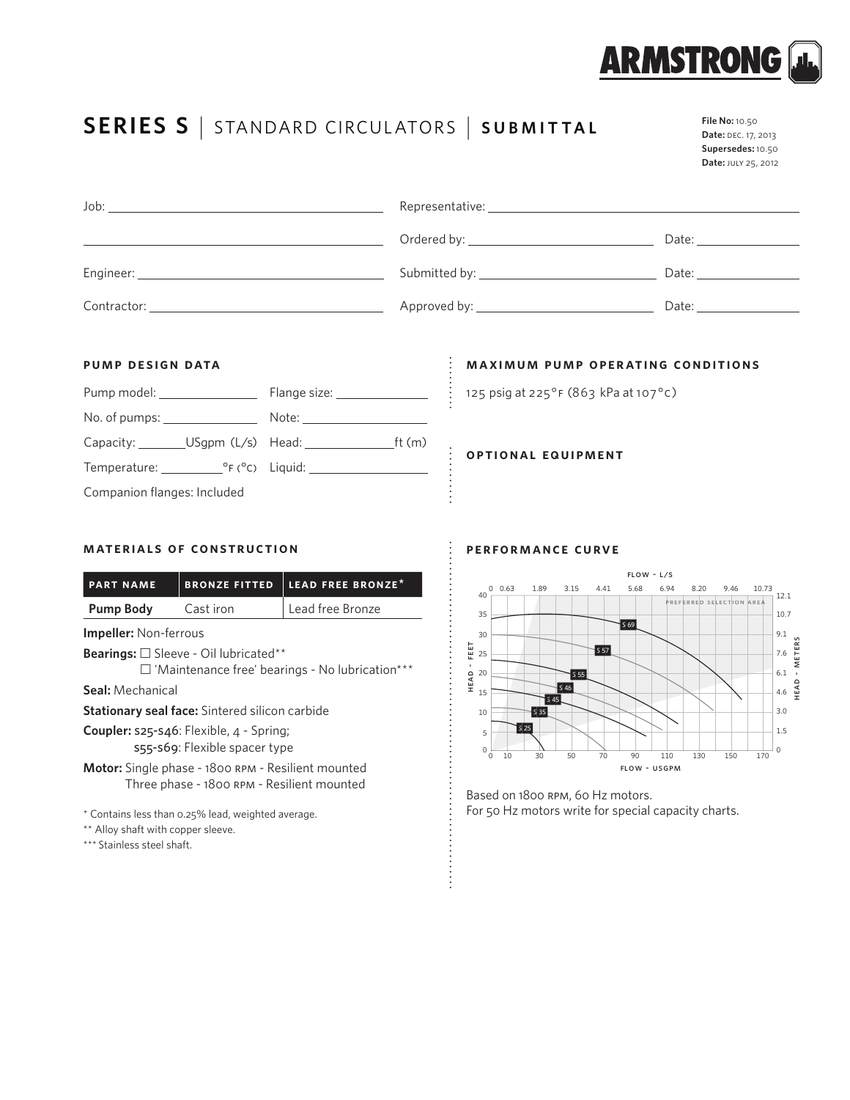

**File No:** 10.50

# **SERIES S** <sup>|</sup> STANDARD CIRCUL ATORS <sup>|</sup> **SUBMITTAL**

| ヽ∟ | <b>Date:</b> DEC. 17, 2013 |
|----|----------------------------|
|    | Supersedes: 10.50          |
|    | Date: JULY 25, 2012        |
|    |                            |
|    |                            |
|    |                            |

|             | N                |       |  |
|-------------|------------------|-------|--|
|             |                  | Date: |  |
| Engineer:   | Submitted by: __ | Date: |  |
| Contractor: |                  | Date: |  |

 $\vdots$ 

Representative:

# **pump design data**

Job:

| Pump model: ________________                          | Flange size: _______________ |  |  |  |
|-------------------------------------------------------|------------------------------|--|--|--|
| No. of pumps: $\sqrt{ }$                              | Note: ___________________    |  |  |  |
| Capacity: __________USgpm (L/s) Head: _______________ | ft $(m)$                     |  |  |  |
| Temperature: ${}^{\circ}F({}^{\circ}C)$ Liquid:       |                              |  |  |  |
| Companion flanges: Included                           |                              |  |  |  |

# **maximum pump operating conditions**

125 psig at 225°F (863 kPa at 107°C)

**optional equipment**

# **materials of construction**

| <b>PART NAME</b>                                       | <b>BRONZE FITTED</b> | LEAD FREE BRONZE <sup>*</sup> |  |  |  |
|--------------------------------------------------------|----------------------|-------------------------------|--|--|--|
| <b>Pump Body</b>                                       | Cast iron            | Lead free Bronze              |  |  |  |
| <b>Impeller:</b> Non-ferrous                           |                      |                               |  |  |  |
| Bearings: □ Sleeve - Oil lubricated**                  |                      |                               |  |  |  |
| $\Box$ 'Maintenance free' bearings - No lubrication*** |                      |                               |  |  |  |
| <b>Seal:</b> Mechanical                                |                      |                               |  |  |  |
| <b>Stationary seal face:</b> Sintered silicon carbide  |                      |                               |  |  |  |
| <b>Coupler:</b> $s25-s46$ : Flexible, $4 -$ Spring;    |                      |                               |  |  |  |
| s55-s69: Flexible spacer type                          |                      |                               |  |  |  |

**Motor:** Single phase - 1800 rpm - Resilient mounted Three phase - 1800 rpm - Resilient mounted

\*\* Alloy shaft with copper sleeve.

\*\*\* Stainless steel shaft.

# **performance curve**



Based on 1800 rpm, 60 Hz motors. \* Contains less than 0.25% lead, weighted average. <br>
For 50 Hz motors write for special capacity charts.